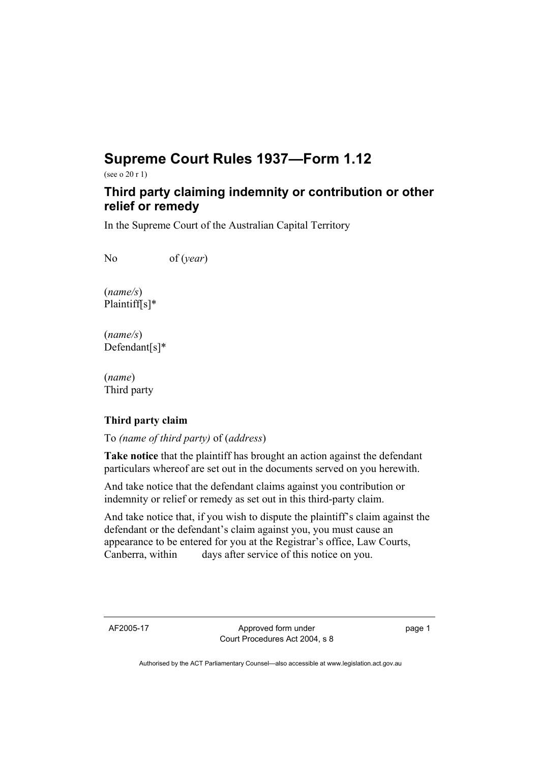## **Supreme Court Rules 1937—Form 1.12**

(see o 20 r 1)

## **Third party claiming indemnity or contribution or other relief or remedy**

In the Supreme Court of the Australian Capital Territory

No of (*year*)

(*name/s*) Plaintiff[s]\*

(*name/s*) Defendant[s]\*

(*name*) Third party

## **Third party claim**

To *(name of third party)* of (*address*)

**Take notice** that the plaintiff has brought an action against the defendant particulars whereof are set out in the documents served on you herewith.

And take notice that the defendant claims against you contribution or indemnity or relief or remedy as set out in this third-party claim.

And take notice that, if you wish to dispute the plaintiff's claim against the defendant or the defendant's claim against you, you must cause an appearance to be entered for you at the Registrar's office, Law Courts, Canberra, within days after service of this notice on you.

AF2005-17 Approved form under Court Procedures Act 2004, s 8 page 1

Authorised by the ACT Parliamentary Counsel—also accessible at www.legislation.act.gov.au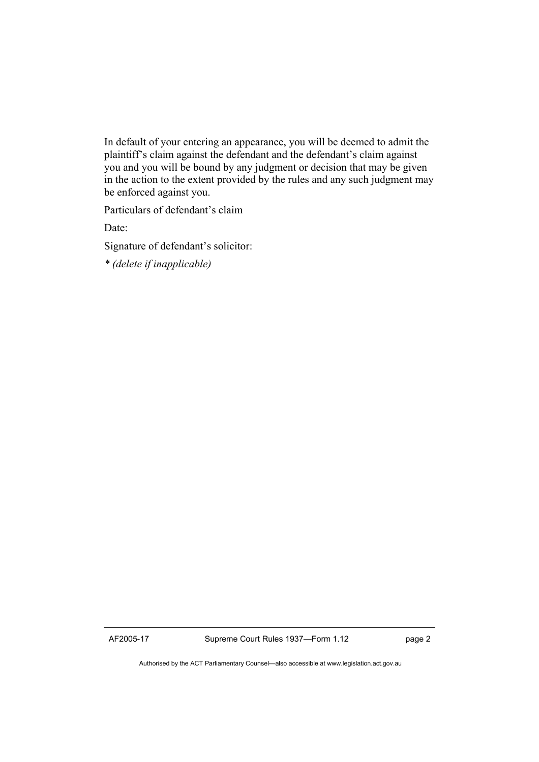In default of your entering an appearance, you will be deemed to admit the plaintiff's claim against the defendant and the defendant's claim against you and you will be bound by any judgment or decision that may be given in the action to the extent provided by the rules and any such judgment may be enforced against you.

Particulars of defendant's claim

Date:

Signature of defendant's solicitor:

*\* (delete if inapplicable)* 

Authorised by the ACT Parliamentary Counsel—also accessible at www.legislation.act.gov.au